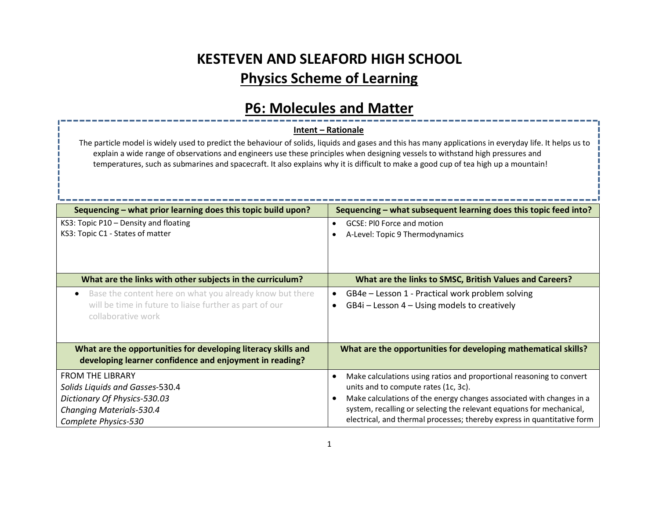# KESTEVEN AND SLEAFORD HIGH SCHOOL Physics Scheme of Learning

### P6: Molecules and Matter

### Intent – Rationale

The particle model is widely used to predict the behaviour of solids, liquids and gases and this has many applications in everyday life. It helps us to explain a wide range of observations and engineers use these principles when designing vessels to withstand high pressures and temperatures, such as submarines and spacecraft. It also explains why it is difficult to make a good cup of tea high up a mountain!

| Sequencing – what prior learning does this topic build upon?          | Sequencing – what subsequent learning does this topic feed into?                  |  |
|-----------------------------------------------------------------------|-----------------------------------------------------------------------------------|--|
| KS3: Topic P10 - Density and floating                                 | GCSE: PIO Force and motion                                                        |  |
| KS3: Topic C1 - States of matter                                      | A-Level: Topic 9 Thermodynamics                                                   |  |
|                                                                       |                                                                                   |  |
|                                                                       |                                                                                   |  |
| What are the links with other subjects in the curriculum?             | What are the links to SMSC, British Values and Careers?                           |  |
| Base the content here on what you already know but there<br>$\bullet$ | GB4e – Lesson 1 - Practical work problem solving<br>$\bullet$                     |  |
| will be time in future to liaise further as part of our               | GB4i – Lesson 4 – Using models to creatively<br>$\bullet$                         |  |
| collaborative work                                                    |                                                                                   |  |
|                                                                       |                                                                                   |  |
| What are the opportunities for developing literacy skills and         | What are the opportunities for developing mathematical skills?                    |  |
| developing learner confidence and enjoyment in reading?               |                                                                                   |  |
| <b>FROM THE LIBRARY</b>                                               | Make calculations using ratios and proportional reasoning to convert<br>$\bullet$ |  |
| Solids Liquids and Gasses-530.4                                       | units and to compute rates (1c, 3c).                                              |  |
| Dictionary Of Physics-530.03                                          | Make calculations of the energy changes associated with changes in a              |  |
| <b>Changing Materials-530.4</b>                                       | system, recalling or selecting the relevant equations for mechanical,             |  |
| Complete Physics-530                                                  | electrical, and thermal processes; thereby express in quantitative form           |  |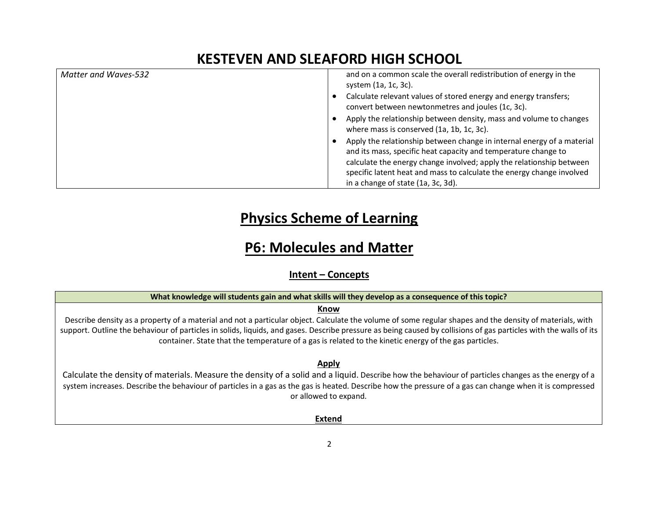| Matter and Waves-532 | and on a common scale the overall redistribution of energy in the<br>system (1a, 1c, 3c).                                                                                                                                                                                                 |  |
|----------------------|-------------------------------------------------------------------------------------------------------------------------------------------------------------------------------------------------------------------------------------------------------------------------------------------|--|
|                      | Calculate relevant values of stored energy and energy transfers;<br>convert between newtonmetres and joules (1c, 3c).                                                                                                                                                                     |  |
|                      | Apply the relationship between density, mass and volume to changes<br>where mass is conserved (1a, 1b, 1c, 3c).                                                                                                                                                                           |  |
|                      | Apply the relationship between change in internal energy of a material<br>and its mass, specific heat capacity and temperature change to<br>calculate the energy change involved; apply the relationship between<br>specific latent heat and mass to calculate the energy change involved |  |
|                      | in a change of state (1a, 3c, 3d).                                                                                                                                                                                                                                                        |  |

## Physics Scheme of Learning

### P6: Molecules and Matter

Intent – Concepts

What knowledge will students gain and what skills will they develop as a consequence of this topic?

#### Know

Describe density as a property of a material and not a particular object. Calculate the volume of some regular shapes and the density of materials, with support. Outline the behaviour of particles in solids, liquids, and gases. Describe pressure as being caused by collisions of gas particles with the walls of its container. State that the temperature of a gas is related to the kinetic energy of the gas particles.

Apply

Calculate the density of materials. Measure the density of a solid and a liquid. Describe how the behaviour of particles changes as the energy of a system increases. Describe the behaviour of particles in a gas as the gas is heated. Describe how the pressure of a gas can change when it is compressed or allowed to expand.

Extend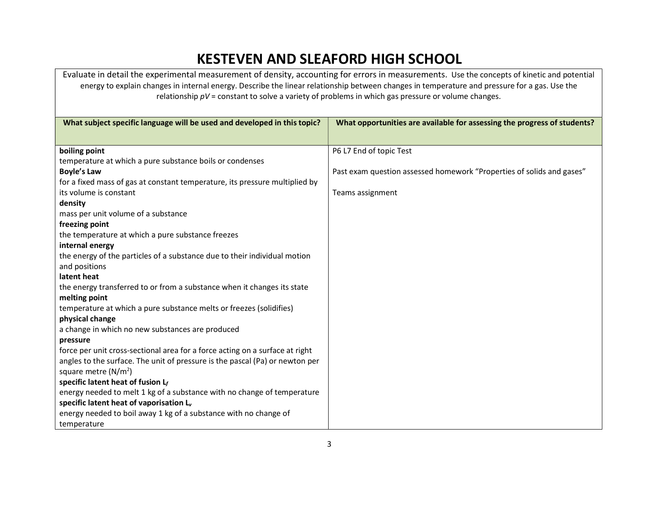Evaluate in detail the experimental measurement of density, accounting for errors in measurements. Use the concepts of kinetic and potential energy to explain changes in internal energy. Describe the linear relationship between changes in temperature and pressure for a gas. Use the relationship  $pV$  = constant to solve a variety of problems in which gas pressure or volume changes.

| What subject specific language will be used and developed in this topic?     | What opportunities are available for assessing the progress of students? |
|------------------------------------------------------------------------------|--------------------------------------------------------------------------|
| boiling point                                                                | P6 L7 End of topic Test                                                  |
| temperature at which a pure substance boils or condenses                     |                                                                          |
| <b>Boyle's Law</b>                                                           | Past exam question assessed homework "Properties of solids and gases"    |
| for a fixed mass of gas at constant temperature, its pressure multiplied by  |                                                                          |
| its volume is constant                                                       | Teams assignment                                                         |
| density                                                                      |                                                                          |
| mass per unit volume of a substance                                          |                                                                          |
| freezing point                                                               |                                                                          |
| the temperature at which a pure substance freezes                            |                                                                          |
| internal energy                                                              |                                                                          |
| the energy of the particles of a substance due to their individual motion    |                                                                          |
| and positions                                                                |                                                                          |
| latent heat                                                                  |                                                                          |
| the energy transferred to or from a substance when it changes its state      |                                                                          |
| melting point                                                                |                                                                          |
| temperature at which a pure substance melts or freezes (solidifies)          |                                                                          |
| physical change                                                              |                                                                          |
| a change in which no new substances are produced                             |                                                                          |
| pressure                                                                     |                                                                          |
| force per unit cross-sectional area for a force acting on a surface at right |                                                                          |
| angles to the surface. The unit of pressure is the pascal (Pa) or newton per |                                                                          |
| square metre $(N/m^2)$                                                       |                                                                          |
| specific latent heat of fusion $L_f$                                         |                                                                          |
| energy needed to melt 1 kg of a substance with no change of temperature      |                                                                          |
| specific latent heat of vaporisation L <sub>v</sub>                          |                                                                          |
| energy needed to boil away 1 kg of a substance with no change of             |                                                                          |
| temperature                                                                  |                                                                          |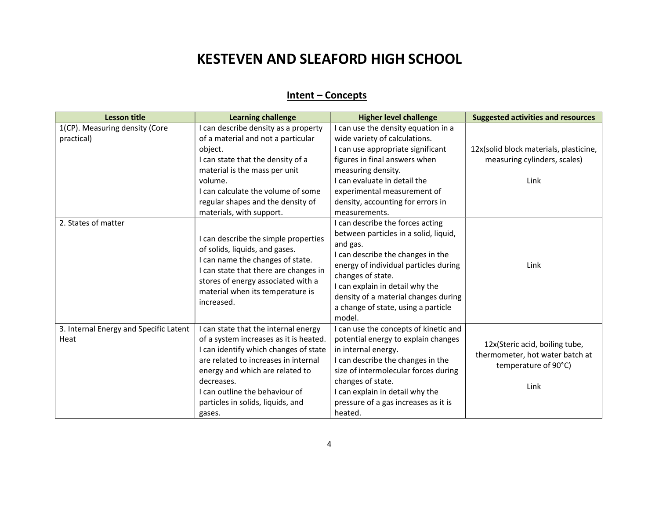### Intent – Concepts

| <b>Lesson title</b>                            | <b>Learning challenge</b>                                                                                                                                                                                                                                                                         | <b>Higher level challenge</b>                                                                                                                                                                                                                                                                                        | <b>Suggested activities and resources</b>                                                         |
|------------------------------------------------|---------------------------------------------------------------------------------------------------------------------------------------------------------------------------------------------------------------------------------------------------------------------------------------------------|----------------------------------------------------------------------------------------------------------------------------------------------------------------------------------------------------------------------------------------------------------------------------------------------------------------------|---------------------------------------------------------------------------------------------------|
| 1(CP). Measuring density (Core<br>practical)   | I can describe density as a property<br>of a material and not a particular<br>object.<br>I can state that the density of a<br>material is the mass per unit<br>volume.<br>I can calculate the volume of some<br>regular shapes and the density of<br>materials, with support.                     | I can use the density equation in a<br>wide variety of calculations.<br>I can use appropriate significant<br>figures in final answers when<br>measuring density.<br>I can evaluate in detail the<br>experimental measurement of<br>density, accounting for errors in<br>measurements.                                | 12x(solid block materials, plasticine,<br>measuring cylinders, scales)<br>Link                    |
| 2. States of matter                            | I can describe the simple properties<br>of solids, liquids, and gases.<br>I can name the changes of state.<br>I can state that there are changes in<br>stores of energy associated with a<br>material when its temperature is<br>increased.                                                       | I can describe the forces acting<br>between particles in a solid, liquid,<br>and gas.<br>I can describe the changes in the<br>energy of individual particles during<br>changes of state.<br>I can explain in detail why the<br>density of a material changes during<br>a change of state, using a particle<br>model. | Link                                                                                              |
| 3. Internal Energy and Specific Latent<br>Heat | I can state that the internal energy<br>of a system increases as it is heated.<br>I can identify which changes of state<br>are related to increases in internal<br>energy and which are related to<br>decreases.<br>I can outline the behaviour of<br>particles in solids, liquids, and<br>gases. | I can use the concepts of kinetic and<br>potential energy to explain changes<br>in internal energy.<br>I can describe the changes in the<br>size of intermolecular forces during<br>changes of state.<br>I can explain in detail why the<br>pressure of a gas increases as it is<br>heated.                          | 12x(Steric acid, boiling tube,<br>thermometer, hot water batch at<br>temperature of 90°C)<br>Link |